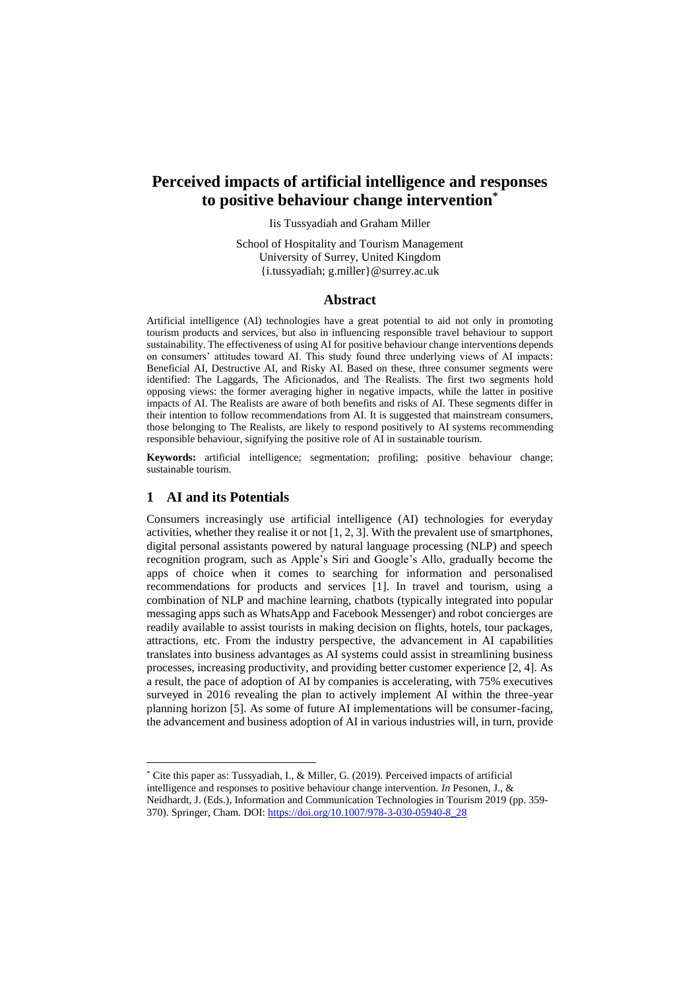# **Perceived impacts of artificial intelligence and responses to positive behaviour change intervention\***

Iis Tussyadiah and Graham Miller

School of Hospitality and Tourism Management University of Surrey, United Kingdom {i.tussyadiah; g.miller}@surrey.ac.uk

## **Abstract**

Artificial intelligence (AI) technologies have a great potential to aid not only in promoting tourism products and services, but also in influencing responsible travel behaviour to support sustainability. The effectiveness of using AI for positive behaviour change interventions depends on consumers' attitudes toward AI. This study found three underlying views of AI impacts: Beneficial AI, Destructive AI, and Risky AI. Based on these, three consumer segments were identified: The Laggards, The Aficionados, and The Realists. The first two segments hold opposing views: the former averaging higher in negative impacts, while the latter in positive impacts of AI. The Realists are aware of both benefits and risks of AI. These segments differ in their intention to follow recommendations from AI. It is suggested that mainstream consumers, those belonging to The Realists, are likely to respond positively to AI systems recommending responsible behaviour, signifying the positive role of AI in sustainable tourism.

**Keywords:** artificial intelligence; segmentation; profiling; positive behaviour change; sustainable tourism.

## **1 AI and its Potentials**

<u>.</u>

Consumers increasingly use artificial intelligence (AI) technologies for everyday activities, whether they realise it or not [1, 2, 3]. With the prevalent use of smartphones, digital personal assistants powered by natural language processing (NLP) and speech recognition program, such as Apple's Siri and Google's Allo, gradually become the apps of choice when it comes to searching for information and personalised recommendations for products and services [1]. In travel and tourism, using a combination of NLP and machine learning, chatbots (typically integrated into popular messaging apps such as WhatsApp and Facebook Messenger) and robot concierges are readily available to assist tourists in making decision on flights, hotels, tour packages, attractions, etc. From the industry perspective, the advancement in AI capabilities translates into business advantages as AI systems could assist in streamlining business processes, increasing productivity, and providing better customer experience [2, 4]. As a result, the pace of adoption of AI by companies is accelerating, with 75% executives surveyed in 2016 revealing the plan to actively implement AI within the three-year planning horizon [5]. As some of future AI implementations will be consumer-facing, the advancement and business adoption of AI in various industries will, in turn, provide

\* Cite this paper as: Tussyadiah, I., & Miller, G. (2019). Perceived impacts of artificial intelligence and responses to positive behaviour change intervention. *In* Pesonen, J., & Neidhardt, J. (Eds.), Information and Communication Technologies in Tourism 2019 (pp. 359 370). Springer, Cham. DOI: [https://doi.org/10.1007/978-3-030-05940-8\\_28](https://doi.org/10.1007/978-3-030-05940-8_28)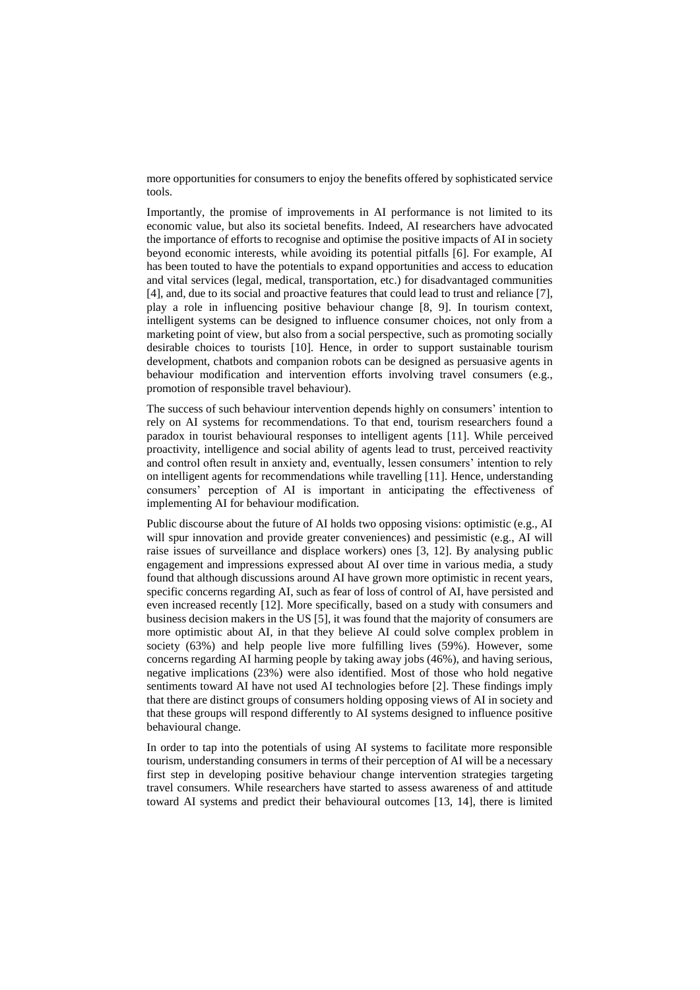more opportunities for consumers to enjoy the benefits offered by sophisticated service tools.

Importantly, the promise of improvements in AI performance is not limited to its economic value, but also its societal benefits. Indeed, AI researchers have advocated the importance of efforts to recognise and optimise the positive impacts of AI in society beyond economic interests, while avoiding its potential pitfalls [6]. For example, AI has been touted to have the potentials to expand opportunities and access to education and vital services (legal, medical, transportation, etc.) for disadvantaged communities [4], and, due to its social and proactive features that could lead to trust and reliance [7], play a role in influencing positive behaviour change [8, 9]. In tourism context, intelligent systems can be designed to influence consumer choices, not only from a marketing point of view, but also from a social perspective, such as promoting socially desirable choices to tourists [10]. Hence, in order to support sustainable tourism development, chatbots and companion robots can be designed as persuasive agents in behaviour modification and intervention efforts involving travel consumers (e.g., promotion of responsible travel behaviour).

The success of such behaviour intervention depends highly on consumers' intention to rely on AI systems for recommendations. To that end, tourism researchers found a paradox in tourist behavioural responses to intelligent agents [11]. While perceived proactivity, intelligence and social ability of agents lead to trust, perceived reactivity and control often result in anxiety and, eventually, lessen consumers' intention to rely on intelligent agents for recommendations while travelling [11]. Hence, understanding consumers' perception of AI is important in anticipating the effectiveness of implementing AI for behaviour modification.

Public discourse about the future of AI holds two opposing visions: optimistic (e.g., AI will spur innovation and provide greater conveniences) and pessimistic (e.g., AI will raise issues of surveillance and displace workers) ones [3, 12]. By analysing public engagement and impressions expressed about AI over time in various media, a study found that although discussions around AI have grown more optimistic in recent years, specific concerns regarding AI, such as fear of loss of control of AI, have persisted and even increased recently [12]. More specifically, based on a study with consumers and business decision makers in the US [5], it was found that the majority of consumers are more optimistic about AI, in that they believe AI could solve complex problem in society (63%) and help people live more fulfilling lives (59%). However, some concerns regarding AI harming people by taking away jobs (46%), and having serious, negative implications (23%) were also identified. Most of those who hold negative sentiments toward AI have not used AI technologies before [2]. These findings imply that there are distinct groups of consumers holding opposing views of AI in society and that these groups will respond differently to AI systems designed to influence positive behavioural change.

In order to tap into the potentials of using AI systems to facilitate more responsible tourism, understanding consumers in terms of their perception of AI will be a necessary first step in developing positive behaviour change intervention strategies targeting travel consumers. While researchers have started to assess awareness of and attitude toward AI systems and predict their behavioural outcomes [13, 14], there is limited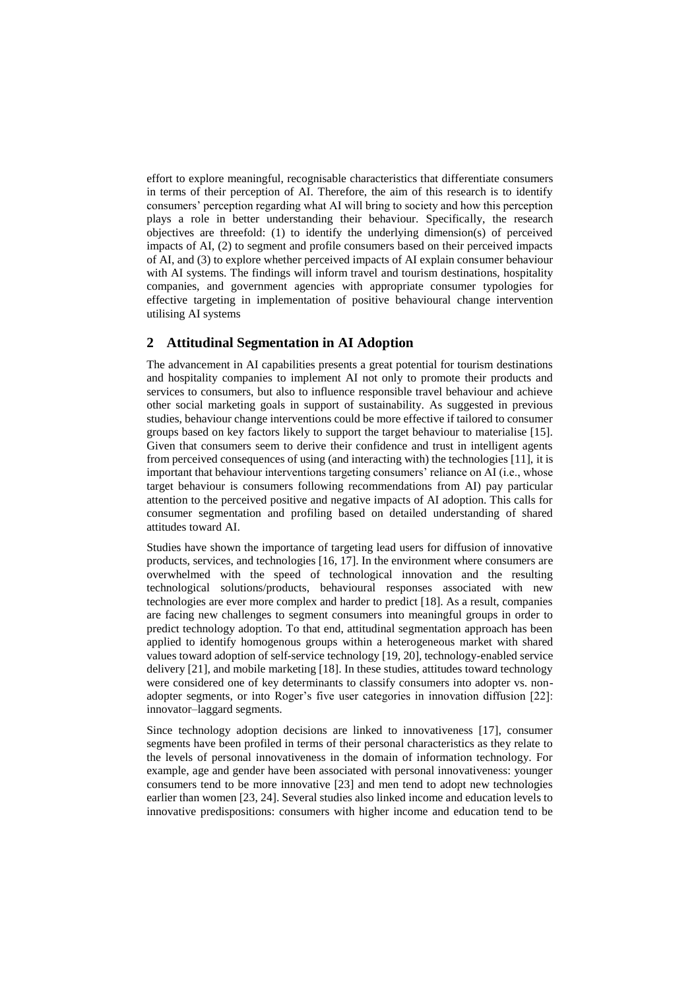effort to explore meaningful, recognisable characteristics that differentiate consumers in terms of their perception of AI. Therefore, the aim of this research is to identify consumers' perception regarding what AI will bring to society and how this perception plays a role in better understanding their behaviour. Specifically, the research objectives are threefold: (1) to identify the underlying dimension(s) of perceived impacts of AI, (2) to segment and profile consumers based on their perceived impacts of AI, and (3) to explore whether perceived impacts of AI explain consumer behaviour with AI systems. The findings will inform travel and tourism destinations, hospitality companies, and government agencies with appropriate consumer typologies for effective targeting in implementation of positive behavioural change intervention utilising AI systems

## **2 Attitudinal Segmentation in AI Adoption**

The advancement in AI capabilities presents a great potential for tourism destinations and hospitality companies to implement AI not only to promote their products and services to consumers, but also to influence responsible travel behaviour and achieve other social marketing goals in support of sustainability. As suggested in previous studies, behaviour change interventions could be more effective if tailored to consumer groups based on key factors likely to support the target behaviour to materialise [15]. Given that consumers seem to derive their confidence and trust in intelligent agents from perceived consequences of using (and interacting with) the technologies [11], it is important that behaviour interventions targeting consumers' reliance on AI (i.e., whose target behaviour is consumers following recommendations from AI) pay particular attention to the perceived positive and negative impacts of AI adoption. This calls for consumer segmentation and profiling based on detailed understanding of shared attitudes toward AI.

Studies have shown the importance of targeting lead users for diffusion of innovative products, services, and technologies [16, 17]. In the environment where consumers are overwhelmed with the speed of technological innovation and the resulting technological solutions/products, behavioural responses associated with new technologies are ever more complex and harder to predict [18]. As a result, companies are facing new challenges to segment consumers into meaningful groups in order to predict technology adoption. To that end, attitudinal segmentation approach has been applied to identify homogenous groups within a heterogeneous market with shared values toward adoption of self-service technology [19, 20], technology-enabled service delivery [21], and mobile marketing [18]. In these studies, attitudes toward technology were considered one of key determinants to classify consumers into adopter vs. nonadopter segments, or into Roger's five user categories in innovation diffusion [22]: innovator–laggard segments.

Since technology adoption decisions are linked to innovativeness [17], consumer segments have been profiled in terms of their personal characteristics as they relate to the levels of personal innovativeness in the domain of information technology. For example, age and gender have been associated with personal innovativeness: younger consumers tend to be more innovative [23] and men tend to adopt new technologies earlier than women [23, 24]. Several studies also linked income and education levels to innovative predispositions: consumers with higher income and education tend to be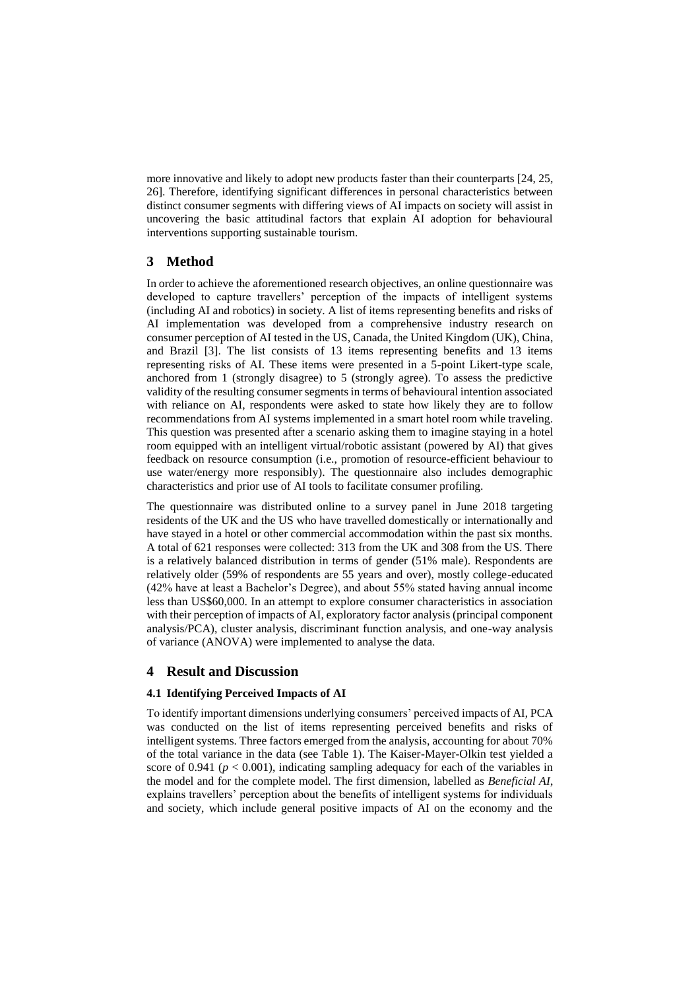more innovative and likely to adopt new products faster than their counterparts [24, 25, 26]. Therefore, identifying significant differences in personal characteristics between distinct consumer segments with differing views of AI impacts on society will assist in uncovering the basic attitudinal factors that explain AI adoption for behavioural interventions supporting sustainable tourism.

# **3 Method**

In order to achieve the aforementioned research objectives, an online questionnaire was developed to capture travellers' perception of the impacts of intelligent systems (including AI and robotics) in society. A list of items representing benefits and risks of AI implementation was developed from a comprehensive industry research on consumer perception of AI tested in the US, Canada, the United Kingdom (UK), China, and Brazil [3]. The list consists of 13 items representing benefits and 13 items representing risks of AI. These items were presented in a 5-point Likert-type scale, anchored from 1 (strongly disagree) to 5 (strongly agree). To assess the predictive validity of the resulting consumer segments in terms of behavioural intention associated with reliance on AI, respondents were asked to state how likely they are to follow recommendations from AI systems implemented in a smart hotel room while traveling. This question was presented after a scenario asking them to imagine staying in a hotel room equipped with an intelligent virtual/robotic assistant (powered by AI) that gives feedback on resource consumption (i.e., promotion of resource-efficient behaviour to use water/energy more responsibly). The questionnaire also includes demographic characteristics and prior use of AI tools to facilitate consumer profiling.

The questionnaire was distributed online to a survey panel in June 2018 targeting residents of the UK and the US who have travelled domestically or internationally and have stayed in a hotel or other commercial accommodation within the past six months. A total of 621 responses were collected: 313 from the UK and 308 from the US. There is a relatively balanced distribution in terms of gender (51% male). Respondents are relatively older (59% of respondents are 55 years and over), mostly college-educated (42% have at least a Bachelor's Degree), and about 55% stated having annual income less than US\$60,000. In an attempt to explore consumer characteristics in association with their perception of impacts of AI, exploratory factor analysis (principal component analysis/PCA), cluster analysis, discriminant function analysis, and one-way analysis of variance (ANOVA) were implemented to analyse the data.

#### **4 Result and Discussion**

#### **4.1 Identifying Perceived Impacts of AI**

To identify important dimensions underlying consumers' perceived impacts of AI, PCA was conducted on the list of items representing perceived benefits and risks of intelligent systems. Three factors emerged from the analysis, accounting for about 70% of the total variance in the data (see Table 1). The Kaiser-Mayer-Olkin test yielded a score of 0.941 ( $p < 0.001$ ), indicating sampling adequacy for each of the variables in the model and for the complete model. The first dimension, labelled as *Beneficial AI*, explains travellers' perception about the benefits of intelligent systems for individuals and society, which include general positive impacts of AI on the economy and the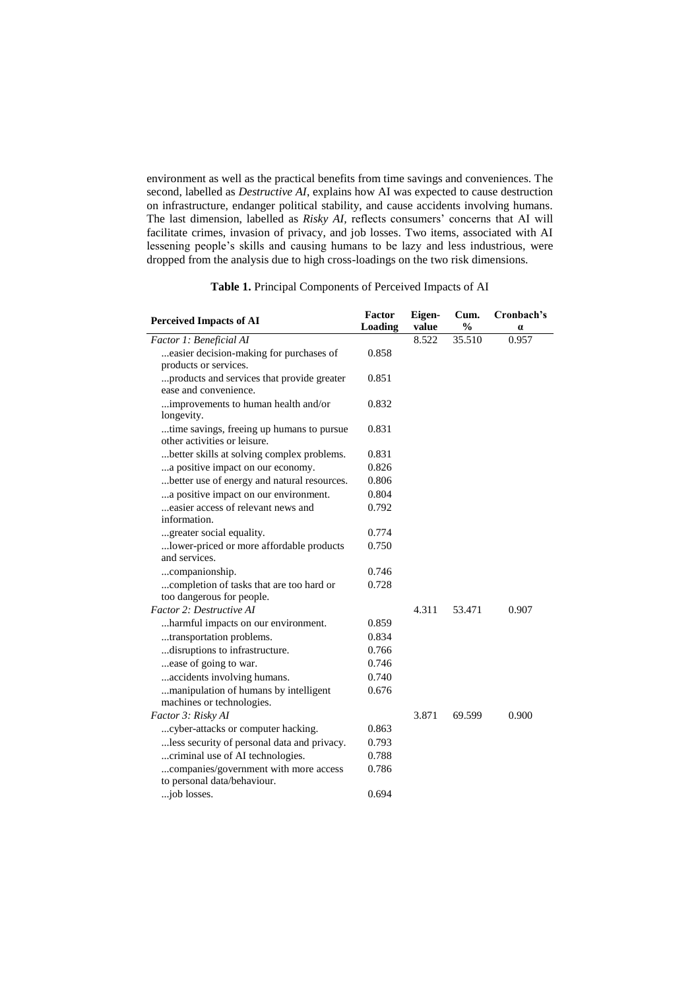environment as well as the practical benefits from time savings and conveniences. The second, labelled as *Destructive AI*, explains how AI was expected to cause destruction on infrastructure, endanger political stability, and cause accidents involving humans. The last dimension, labelled as *Risky AI,* reflects consumers' concerns that AI will facilitate crimes, invasion of privacy, and job losses. Two items, associated with AI lessening people's skills and causing humans to be lazy and less industrious, were dropped from the analysis due to high cross-loadings on the two risk dimensions.

| <b>Perceived Impacts of AI</b>                                            | Factor<br>Loading | Eigen-<br>value | Cum.<br>$\frac{0}{0}$ | Cronbach's<br>$\alpha$ |
|---------------------------------------------------------------------------|-------------------|-----------------|-----------------------|------------------------|
| Factor 1: Beneficial AI                                                   |                   | 8.522           | 35.510                | 0.957                  |
| easier decision-making for purchases of<br>products or services.          | 0.858             |                 |                       |                        |
| products and services that provide greater<br>ease and convenience.       | 0.851             |                 |                       |                        |
| improvements to human health and/or<br>longevity.                         | 0.832             |                 |                       |                        |
| time savings, freeing up humans to pursue<br>other activities or leisure. | 0.831             |                 |                       |                        |
| better skills at solving complex problems.                                | 0.831             |                 |                       |                        |
| a positive impact on our economy.                                         | 0.826             |                 |                       |                        |
| better use of energy and natural resources.                               | 0.806             |                 |                       |                        |
| a positive impact on our environment.                                     | 0.804             |                 |                       |                        |
| easier access of relevant news and<br>information.                        | 0.792             |                 |                       |                        |
| greater social equality.                                                  | 0.774             |                 |                       |                        |
| lower-priced or more affordable products<br>and services.                 | 0.750             |                 |                       |                        |
| companionship.                                                            | 0.746             |                 |                       |                        |
| completion of tasks that are too hard or<br>too dangerous for people.     | 0.728             |                 |                       |                        |
| Factor 2: Destructive AI                                                  |                   | 4.311           | 53.471                | 0.907                  |
| harmful impacts on our environment.                                       | 0.859             |                 |                       |                        |
| transportation problems.                                                  | 0.834             |                 |                       |                        |
| disruptions to infrastructure.                                            | 0.766             |                 |                       |                        |
| ease of going to war.                                                     | 0.746             |                 |                       |                        |
| accidents involving humans.                                               | 0.740             |                 |                       |                        |
| manipulation of humans by intelligent<br>machines or technologies.        | 0.676             |                 |                       |                        |
| Factor 3: Risky AI                                                        |                   | 3.871           | 69.599                | 0.900                  |
| cyber-attacks or computer hacking.                                        | 0.863             |                 |                       |                        |
| less security of personal data and privacy.                               | 0.793             |                 |                       |                        |
| criminal use of AI technologies.                                          | 0.788             |                 |                       |                        |
| companies/government with more access<br>to personal data/behaviour.      | 0.786             |                 |                       |                        |
| job losses.                                                               | 0.694             |                 |                       |                        |

**Table 1.** Principal Components of Perceived Impacts of AI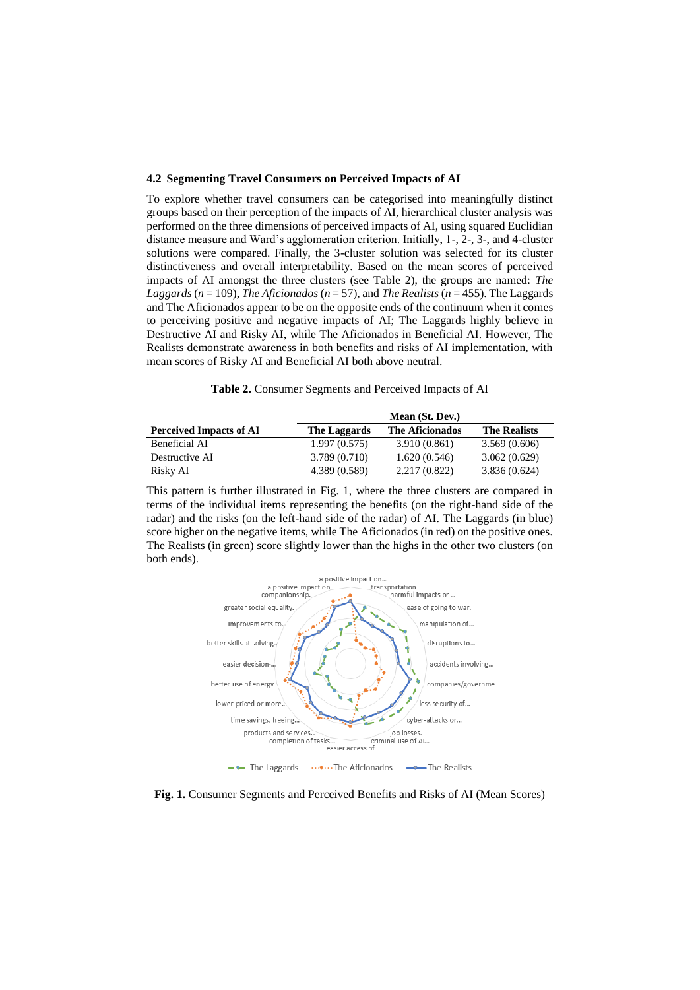#### **4.2 Segmenting Travel Consumers on Perceived Impacts of AI**

To explore whether travel consumers can be categorised into meaningfully distinct groups based on their perception of the impacts of AI, hierarchical cluster analysis was performed on the three dimensions of perceived impacts of AI, using squared Euclidian distance measure and Ward's agglomeration criterion. Initially, 1-, 2-, 3-, and 4-cluster solutions were compared. Finally, the 3-cluster solution was selected for its cluster distinctiveness and overall interpretability. Based on the mean scores of perceived impacts of AI amongst the three clusters (see Table 2), the groups are named: *The Laggards* ( $n = 109$ ), *The Aficionados* ( $n = 57$ ), and *The Realists* ( $n = 455$ ). The Laggards and The Aficionados appear to be on the opposite ends of the continuum when it comes to perceiving positive and negative impacts of AI; The Laggards highly believe in Destructive AI and Risky AI, while The Aficionados in Beneficial AI. However, The Realists demonstrate awareness in both benefits and risks of AI implementation, with mean scores of Risky AI and Beneficial AI both above neutral.

| Table 2. Consumer Segments and Perceived Impacts of AI |  |  |  |
|--------------------------------------------------------|--|--|--|
|--------------------------------------------------------|--|--|--|

|                                | Mean (St. Dev.) |                        |                     |  |
|--------------------------------|-----------------|------------------------|---------------------|--|
| <b>Perceived Impacts of AI</b> | The Laggards    | <b>The Aficionados</b> | <b>The Realists</b> |  |
| Beneficial AI                  | 1.997(0.575)    | 3.910(0.861)           | 3.569(0.606)        |  |
| Destructive AI                 | 3.789 (0.710)   | 1.620(0.546)           | 3.062(0.629)        |  |
| Risky AI                       | 4.389 (0.589)   | 2.217(0.822)           | 3.836(0.624)        |  |

This pattern is further illustrated in Fig. 1, where the three clusters are compared in terms of the individual items representing the benefits (on the right-hand side of the radar) and the risks (on the left-hand side of the radar) of AI. The Laggards (in blue) score higher on the negative items, while The Aficionados (in red) on the positive ones. The Realists (in green) score slightly lower than the highs in the other two clusters (on both ends).



**Fig. 1.** Consumer Segments and Perceived Benefits and Risks of AI (Mean Scores)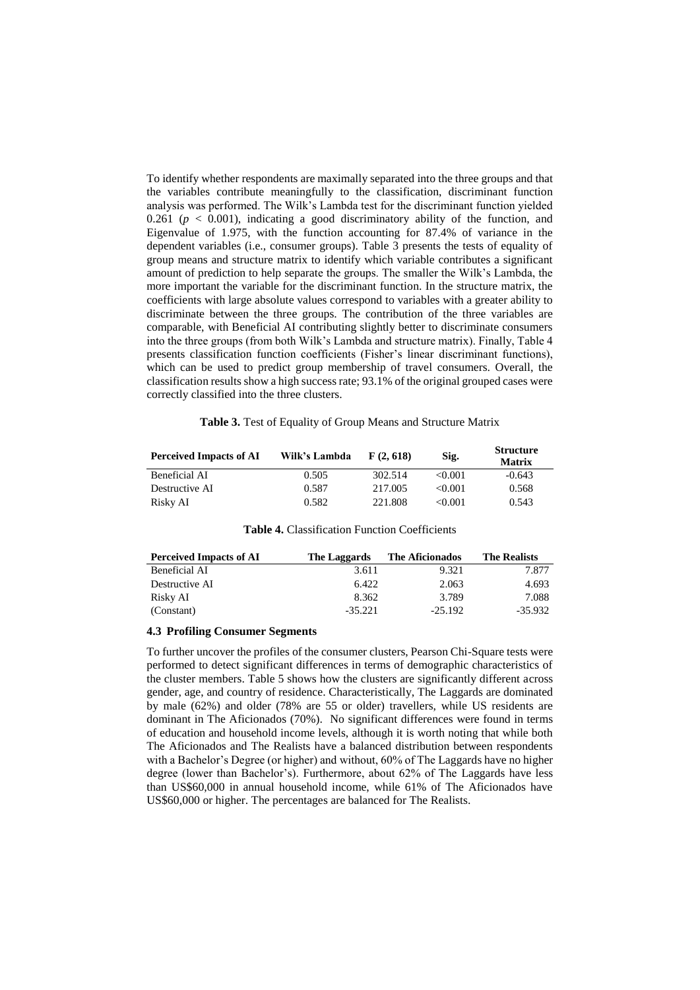To identify whether respondents are maximally separated into the three groups and that the variables contribute meaningfully to the classification, discriminant function analysis was performed. The Wilk's Lambda test for the discriminant function yielded 0.261 ( $p < 0.001$ ), indicating a good discriminatory ability of the function, and Eigenvalue of 1.975, with the function accounting for 87.4% of variance in the dependent variables (i.e., consumer groups). Table 3 presents the tests of equality of group means and structure matrix to identify which variable contributes a significant amount of prediction to help separate the groups. The smaller the Wilk's Lambda, the more important the variable for the discriminant function. In the structure matrix, the coefficients with large absolute values correspond to variables with a greater ability to discriminate between the three groups. The contribution of the three variables are comparable, with Beneficial AI contributing slightly better to discriminate consumers into the three groups (from both Wilk's Lambda and structure matrix). Finally, Table 4 presents classification function coefficients (Fisher's linear discriminant functions), which can be used to predict group membership of travel consumers. Overall, the classification results show a high success rate; 93.1% of the original grouped cases were correctly classified into the three clusters.

**Table 3.** Test of Equality of Group Means and Structure Matrix

| <b>Perceived Impacts of AI</b> | Wilk's Lambda | F(2, 618) | Sig.    | <b>Structure</b><br><b>Matrix</b> |
|--------------------------------|---------------|-----------|---------|-----------------------------------|
| Beneficial AI                  | 0.505         | 302.514   | <0.001  | $-0.643$                          |
| Destructive AI                 | 0.587         | 217.005   | < 0.001 | 0.568                             |
| Risky AI                       | 0.582         | 221.808   | < 0.001 | 0.543                             |

| <b>Perceived Impacts of AI</b> | The Laggards | <b>The Aficionados</b> | <b>The Realists</b> |
|--------------------------------|--------------|------------------------|---------------------|
| Beneficial AI                  | 3.611        | 9.321                  | 7.877               |
| Destructive AI                 | 6.422        | 2.063                  | 4.693               |
| Risky AI                       | 8.362        | 3.789                  | 7.088               |
| (Constant)                     | $-35.221$    | $-25.192$              | $-35.932$           |

**Table 4.** Classification Function Coefficients

#### **4.3 Profiling Consumer Segments**

To further uncover the profiles of the consumer clusters, Pearson Chi-Square tests were performed to detect significant differences in terms of demographic characteristics of the cluster members. Table 5 shows how the clusters are significantly different across gender, age, and country of residence. Characteristically, The Laggards are dominated by male (62%) and older (78% are 55 or older) travellers, while US residents are dominant in The Aficionados (70%). No significant differences were found in terms of education and household income levels, although it is worth noting that while both The Aficionados and The Realists have a balanced distribution between respondents with a Bachelor's Degree (or higher) and without, 60% of The Laggards have no higher degree (lower than Bachelor's). Furthermore, about 62% of The Laggards have less than US\$60,000 in annual household income, while 61% of The Aficionados have US\$60,000 or higher. The percentages are balanced for The Realists.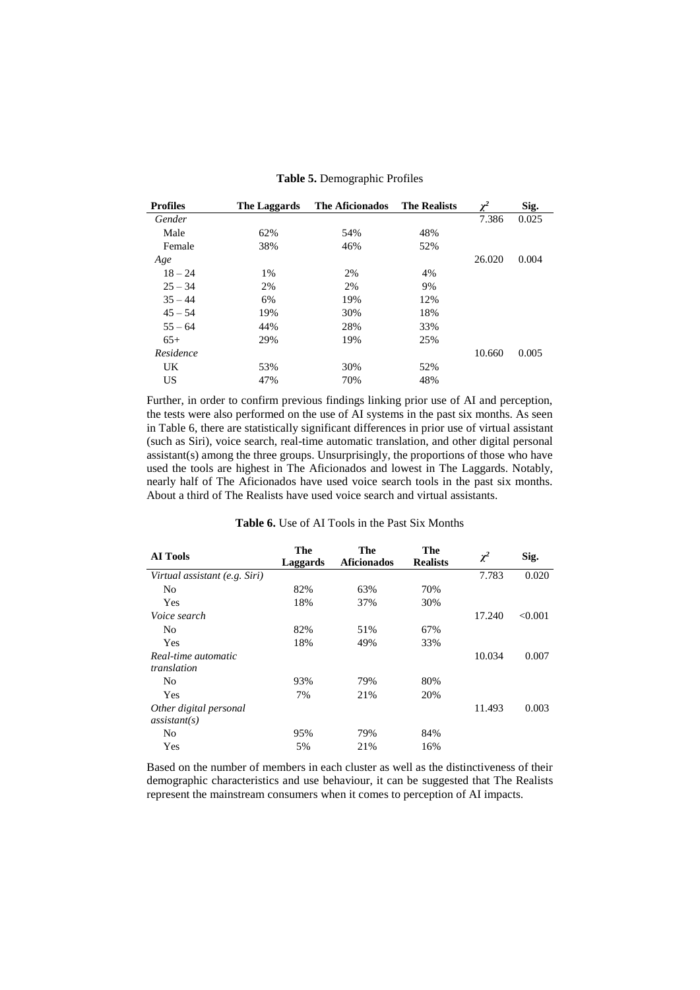| <b>Profiles</b> | The Laggards | <b>The Aficionados</b> | <b>The Realists</b> | $\mathbf{v}^2$ | Sig.  |  |
|-----------------|--------------|------------------------|---------------------|----------------|-------|--|
| Gender          |              |                        |                     | 7.386          | 0.025 |  |
| Male            | 62%          | 54%                    | 48%                 |                |       |  |
| Female          | 38%          | 46%                    | 52%                 |                |       |  |
| Age             |              |                        |                     | 26.020         | 0.004 |  |
| $18 - 24$       | 1%           | 2%                     | 4%                  |                |       |  |
| $25 - 34$       | 2%           | 2%                     | 9%                  |                |       |  |
| $35 - 44$       | 6%           | 19%                    | 12%                 |                |       |  |
| $45 - 54$       | 19%          | 30%                    | 18%                 |                |       |  |
| $55 - 64$       | 44%          | 28%                    | 33%                 |                |       |  |
| $65+$           | 29%          | 19%                    | 25%                 |                |       |  |
| Residence       |              |                        |                     | 10.660         | 0.005 |  |
| UK              | 53%          | 30%                    | 52%                 |                |       |  |
| US              | 47%          | 70%                    | 48%                 |                |       |  |
|                 |              |                        |                     |                |       |  |

#### **Table 5.** Demographic Profiles

Further, in order to confirm previous findings linking prior use of AI and perception, the tests were also performed on the use of AI systems in the past six months. As seen in Table 6, there are statistically significant differences in prior use of virtual assistant (such as Siri), voice search, real-time automatic translation, and other digital personal assistant(s) among the three groups. Unsurprisingly, the proportions of those who have used the tools are highest in The Aficionados and lowest in The Laggards. Notably, nearly half of The Aficionados have used voice search tools in the past six months. About a third of The Realists have used voice search and virtual assistants.

| <b>Table 6.</b> Use of AI Tools in the Past Six Months |
|--------------------------------------------------------|
|--------------------------------------------------------|

| <b>AI</b> Tools                                    | The      | The                | The             |          |         |
|----------------------------------------------------|----------|--------------------|-----------------|----------|---------|
|                                                    | Laggards | <b>Aficionados</b> | <b>Realists</b> | $\chi^2$ | Sig.    |
| Virtual assistant (e.g. Siri)                      |          |                    |                 | 7.783    | 0.020   |
| N <sub>0</sub>                                     | 82%      | 63%                | 70%             |          |         |
| Yes                                                | 18%      | 37%                | 30%             |          |         |
| Voice search                                       |          |                    |                 | 17.240   | < 0.001 |
| No                                                 | 82%      | 51%                | 67%             |          |         |
| Yes                                                | 18%      | 49%                | 33%             |          |         |
| Real-time automatic<br>translation                 |          |                    |                 | 10.034   | 0.007   |
| N <sub>0</sub>                                     | 93%      | 79%                | 80%             |          |         |
| Yes                                                | 7%       | 21%                | 20%             |          |         |
| Other digital personal<br>$\textit{assignment}(s)$ |          |                    |                 | 11.493   | 0.003   |
| No                                                 | 95%      | 79%                | 84%             |          |         |
| Yes                                                | 5%       | 21%                | 16%             |          |         |

Based on the number of members in each cluster as well as the distinctiveness of their demographic characteristics and use behaviour, it can be suggested that The Realists represent the mainstream consumers when it comes to perception of AI impacts.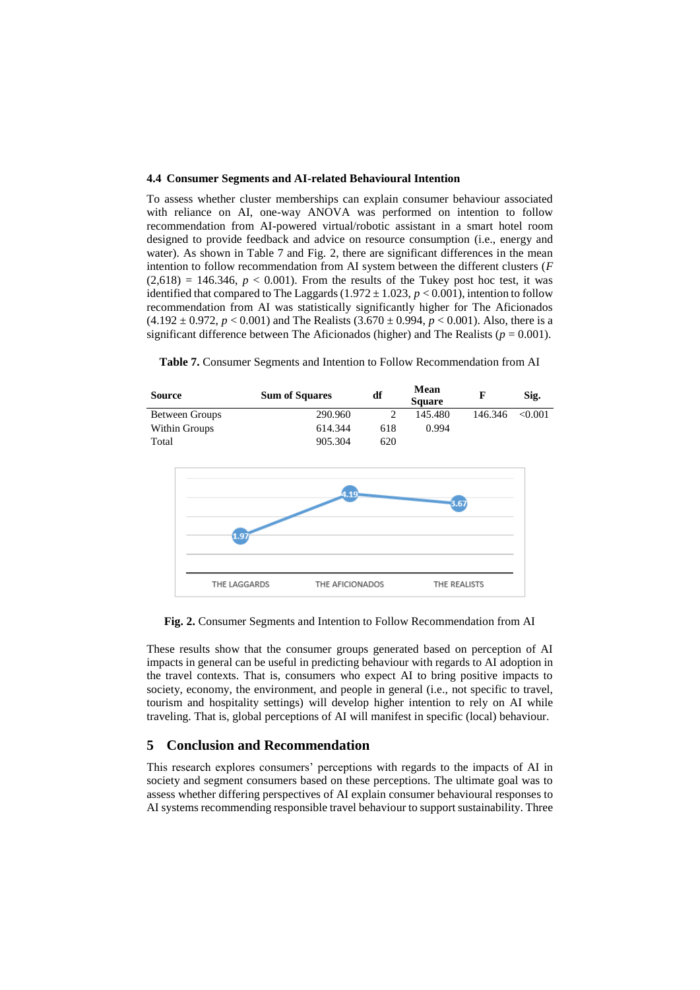#### **4.4 Consumer Segments and AI-related Behavioural Intention**

To assess whether cluster memberships can explain consumer behaviour associated with reliance on AI, one-way ANOVA was performed on intention to follow recommendation from AI-powered virtual/robotic assistant in a smart hotel room designed to provide feedback and advice on resource consumption (i.e., energy and water). As shown in Table 7 and Fig. 2, there are significant differences in the mean intention to follow recommendation from AI system between the different clusters (*F*   $(2,618) = 146.346$ ,  $p < 0.001$ ). From the results of the Tukey post hoc test, it was identified that compared to The Laggards  $(1.972 \pm 1.023, p < 0.001)$ , intention to follow recommendation from AI was statistically significantly higher for The Aficionados  $(4.192 \pm 0.972, p < 0.001)$  and The Realists  $(3.670 \pm 0.994, p < 0.001)$ . Also, there is a significant difference between The Aficionados (higher) and The Realists ( $p = 0.001$ ).

**Table 7.** Consumer Segments and Intention to Follow Recommendation from AI

| <b>Source</b>  | <b>Sum of Squares</b> | df  | Mean<br><b>Square</b> |         | Sig.   |
|----------------|-----------------------|-----|-----------------------|---------|--------|
| Between Groups | 290.960               |     | 145.480               | 146.346 | <0.001 |
| Within Groups  | 614.344               | 618 | 0.994                 |         |        |
| Total          | 905.304               | 620 |                       |         |        |



**Fig. 2.** Consumer Segments and Intention to Follow Recommendation from AI

These results show that the consumer groups generated based on perception of AI impacts in general can be useful in predicting behaviour with regards to AI adoption in the travel contexts. That is, consumers who expect AI to bring positive impacts to society, economy, the environment, and people in general (i.e., not specific to travel, tourism and hospitality settings) will develop higher intention to rely on AI while traveling. That is, global perceptions of AI will manifest in specific (local) behaviour.

### **5 Conclusion and Recommendation**

This research explores consumers' perceptions with regards to the impacts of AI in society and segment consumers based on these perceptions. The ultimate goal was to assess whether differing perspectives of AI explain consumer behavioural responses to AI systems recommending responsible travel behaviour to support sustainability. Three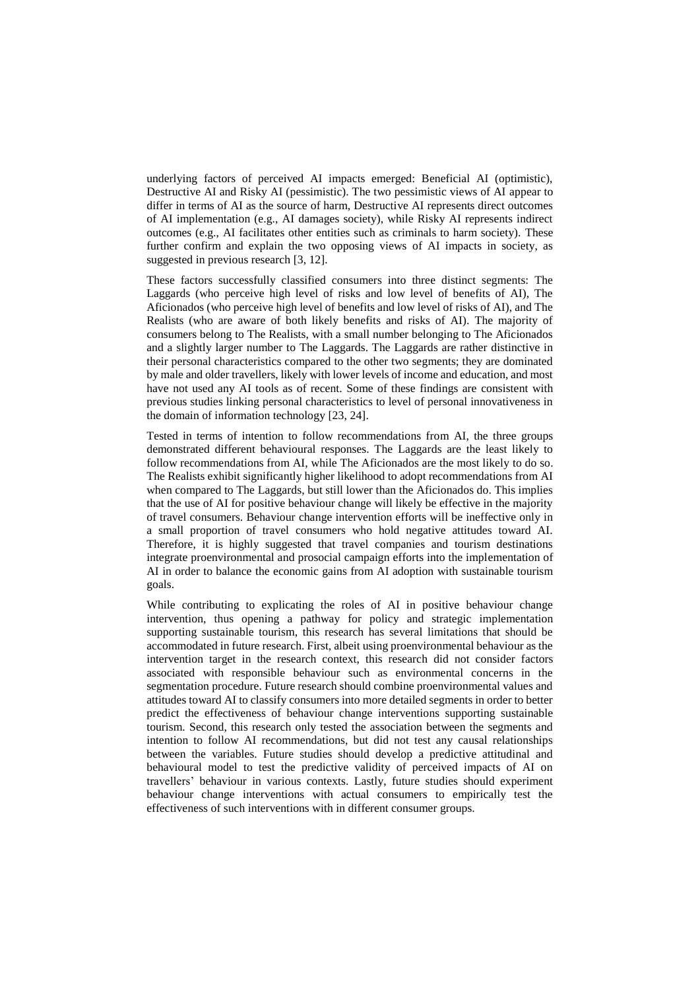underlying factors of perceived AI impacts emerged: Beneficial AI (optimistic), Destructive AI and Risky AI (pessimistic). The two pessimistic views of AI appear to differ in terms of AI as the source of harm, Destructive AI represents direct outcomes of AI implementation (e.g., AI damages society), while Risky AI represents indirect outcomes (e.g., AI facilitates other entities such as criminals to harm society). These further confirm and explain the two opposing views of AI impacts in society, as suggested in previous research [3, 12].

These factors successfully classified consumers into three distinct segments: The Laggards (who perceive high level of risks and low level of benefits of AI), The Aficionados (who perceive high level of benefits and low level of risks of AI), and The Realists (who are aware of both likely benefits and risks of AI). The majority of consumers belong to The Realists, with a small number belonging to The Aficionados and a slightly larger number to The Laggards. The Laggards are rather distinctive in their personal characteristics compared to the other two segments; they are dominated by male and older travellers, likely with lower levels of income and education, and most have not used any AI tools as of recent. Some of these findings are consistent with previous studies linking personal characteristics to level of personal innovativeness in the domain of information technology [23, 24].

Tested in terms of intention to follow recommendations from AI, the three groups demonstrated different behavioural responses. The Laggards are the least likely to follow recommendations from AI, while The Aficionados are the most likely to do so. The Realists exhibit significantly higher likelihood to adopt recommendations from AI when compared to The Laggards, but still lower than the Aficionados do. This implies that the use of AI for positive behaviour change will likely be effective in the majority of travel consumers. Behaviour change intervention efforts will be ineffective only in a small proportion of travel consumers who hold negative attitudes toward AI. Therefore, it is highly suggested that travel companies and tourism destinations integrate proenvironmental and prosocial campaign efforts into the implementation of AI in order to balance the economic gains from AI adoption with sustainable tourism goals.

While contributing to explicating the roles of AI in positive behaviour change intervention, thus opening a pathway for policy and strategic implementation supporting sustainable tourism, this research has several limitations that should be accommodated in future research. First, albeit using proenvironmental behaviour as the intervention target in the research context, this research did not consider factors associated with responsible behaviour such as environmental concerns in the segmentation procedure. Future research should combine proenvironmental values and attitudes toward AI to classify consumers into more detailed segments in order to better predict the effectiveness of behaviour change interventions supporting sustainable tourism. Second, this research only tested the association between the segments and intention to follow AI recommendations, but did not test any causal relationships between the variables. Future studies should develop a predictive attitudinal and behavioural model to test the predictive validity of perceived impacts of AI on travellers' behaviour in various contexts. Lastly, future studies should experiment behaviour change interventions with actual consumers to empirically test the effectiveness of such interventions with in different consumer groups.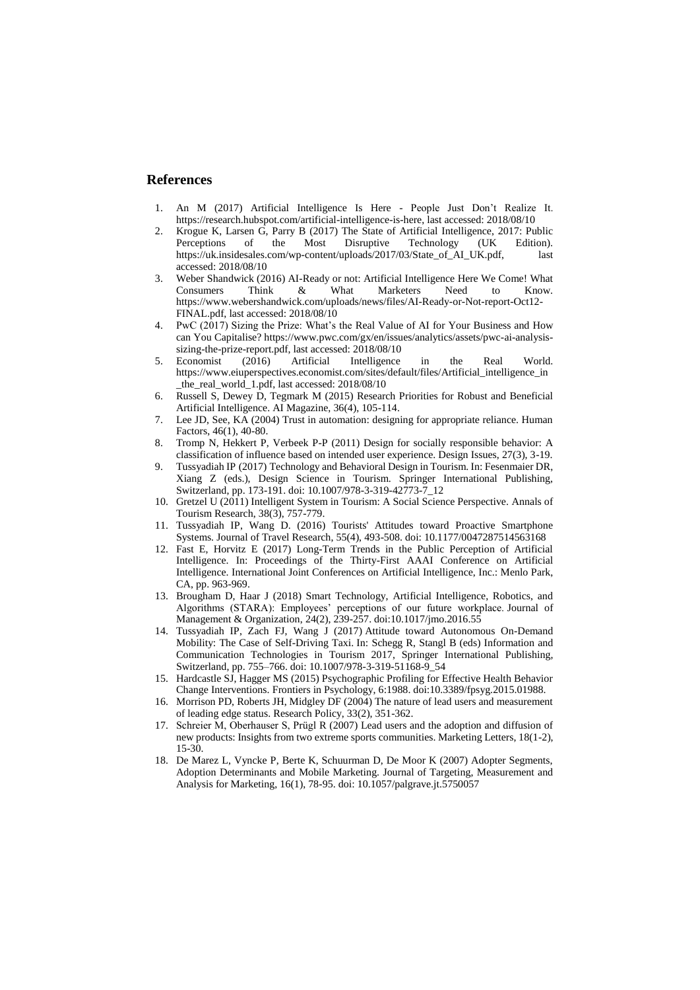## **References**

- 1. An M (2017) Artificial Intelligence Is Here People Just Don't Realize It. https://research.hubspot.com/artificial-intelligence-is-here, last accessed: 2018/08/10
- 2. Krogue K, Larsen G, Parry B (2017) The State of Artificial Intelligence, 2017: Public Perceptions of the Most Disruptive Technology (UK Edition). https://uk.insidesales.com/wp-content/uploads/2017/03/State\_of\_AI\_UK.pdf, last accessed: 2018/08/10
- 3. Weber Shandwick (2016) AI-Ready or not: Artificial Intelligence Here We Come! What Marketers https://www.webershandwick.com/uploads/news/files/AI-Ready-or-Not-report-Oct12- FINAL.pdf, last accessed: 2018/08/10
- 4. PwC (2017) Sizing the Prize: What's the Real Value of AI for Your Business and How can You Capitalise? https://www.pwc.com/gx/en/issues/analytics/assets/pwc-ai-analysissizing-the-prize-report.pdf, last accessed: 2018/08/10<br>Economist (2016) Artificial Intelligence
- 5. Economist (2016) Artificial Intelligence in the Real World. https://www.eiuperspectives.economist.com/sites/default/files/Artificial\_intelligence\_in \_the\_real\_world\_1.pdf, last accessed: 2018/08/10
- 6. Russell S, Dewey D, Tegmark M (2015) Research Priorities for Robust and Beneficial Artificial Intelligence. AI Magazine, 36(4), 105-114.
- 7. Lee JD, See, KA (2004) Trust in automation: designing for appropriate reliance. Human Factors, 46(1), 40-80.
- 8. Tromp N, Hekkert P, Verbeek P-P (2011) Design for socially responsible behavior: A classification of influence based on intended user experience. Design Issues, 27(3), 3-19.
- 9. Tussyadiah IP (2017) Technology and Behavioral Design in Tourism. In: Fesenmaier DR, Xiang Z (eds.), Design Science in Tourism. Springer International Publishing, Switzerland, pp. 173-191. doi: [10.1007/978-3-319-42773-7\\_12](https://dx.doi.org/10.1007/978-3-319-42773-7_12)
- 10. Gretzel U (2011) Intelligent System in Tourism: A Social Science Perspective. Annals of Tourism Research, 38(3), 757-779.
- 11. Tussyadiah IP, Wang D. (2016) Tourists' Attitudes toward Proactive Smartphone Systems. Journal of Travel Research, 55(4), 493-508. do[i: 10.1177/0047287514563168](http://jtr.sagepub.com/content/55/4/493.full.pdf?ijkey=gJvE7zbZeSV2Pzi&keytype=finite)
- 12. Fast E, Horvitz E (2017) Long-Term Trends in the Public Perception of Artificial Intelligence. In: Proceedings of the Thirty-First AAAI Conference on Artificial Intelligence. International Joint Conferences on Artificial Intelligence, Inc.: Menlo Park, CA, pp. 963-969.
- 13. Brougham D, Haar J (2018) Smart Technology, Artificial Intelligence, Robotics, and Algorithms (STARA): Employees' perceptions of our future workplace. Journal of Management & Organization, 24(2), 239-257. doi:10.1017/jmo.2016.55
- 14. Tussyadiah IP, Zach FJ, Wang J (2017) Attitude toward Autonomous On-Demand Mobility: The Case of Self-Driving Taxi. In: Schegg R, Stangl B (eds) Information and Communication Technologies in Tourism 2017, Springer International Publishing, Switzerland, pp. 755–766. doi: [10.1007/978-3-319-51168-9\\_54](https://link.springer.com/chapter/10.1007/978-3-319-51168-9_54)
- 15. Hardcastle SJ, Hagger MS (2015) Psychographic Profiling for Effective Health Behavior Change Interventions. Frontiers in Psychology, 6:1988. doi:10.3389/fpsyg.2015.01988.
- 16. Morrison PD, Roberts JH, Midgley DF (2004) The nature of lead users and measurement of leading edge status. Research Policy, 33(2), 351-362.
- 17. Schreier M, Oberhauser S, Prügl R (2007) Lead users and the adoption and diffusion of new products: Insights from two extreme sports communities. Marketing Letters, 18(1-2), 15-30.
- 18. De Marez L, Vyncke P, Berte K, Schuurman D, De Moor K (2007) Adopter Segments, Adoption Determinants and Mobile Marketing. Journal of Targeting, Measurement and Analysis for Marketing, 16(1), 78-95. doi: 10.1057/palgrave.jt.5750057